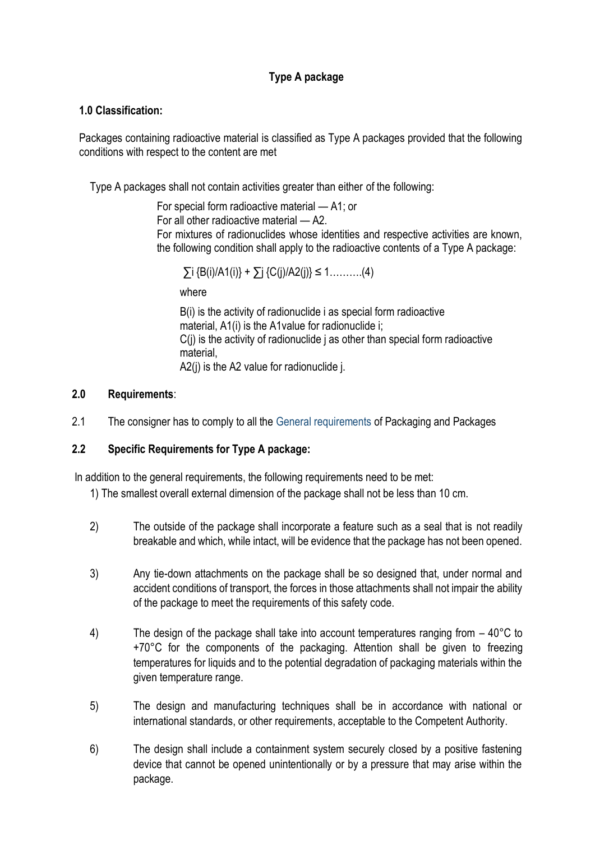# **Type A package**

#### **1.0 Classification:**

Packages containing radioactive material is classified as Type A packages provided that the following conditions with respect to the content are met

Type A packages shall not contain activities greater than either of the following:

For special form radioactive material — A1; or For all other radioactive material — A2. For mixtures of radionuclides whose identities and respective activities are known, the following condition shall apply to the radioactive contents of a Type A package:

 $\sum i \{B(i)/A1(i)\} + \sum i \{C(i)/A2(i)\}$ ≤ 1……….(4)

where

B(i) is the activity of radionuclide i as special form radioactive material, A1(i) is the A1value for radionuclide i; C(j) is the activity of radionuclide j as other than special form radioactive material, A2(i) is the A2 value for radionuclide i.

#### **2.0 Requirements**:

2.1 The consigner has to comply to all the General requirements of Packaging and Packages

## **2.2 Specific Requirements for Type A package:**

In addition to the general requirements, the following requirements need to be met:

- 1) The smallest overall external dimension of the package shall not be less than 10 cm.
- 2) The outside of the package shall incorporate a feature such as a seal that is not readily breakable and which, while intact, will be evidence that the package has not been opened.
- 3) Any tie-down attachments on the package shall be so designed that, under normal and accident conditions of transport, the forces in those attachments shall not impair the ability of the package to meet the requirements of this safety code.
- 4) The design of the package shall take into account temperatures ranging from  $-40^{\circ}$ C to +70°C for the components of the packaging. Attention shall be given to freezing temperatures for liquids and to the potential degradation of packaging materials within the given temperature range.
- 5) The design and manufacturing techniques shall be in accordance with national or international standards, or other requirements, acceptable to the Competent Authority.
- 6) The design shall include a containment system securely closed by a positive fastening device that cannot be opened unintentionally or by a pressure that may arise within the package.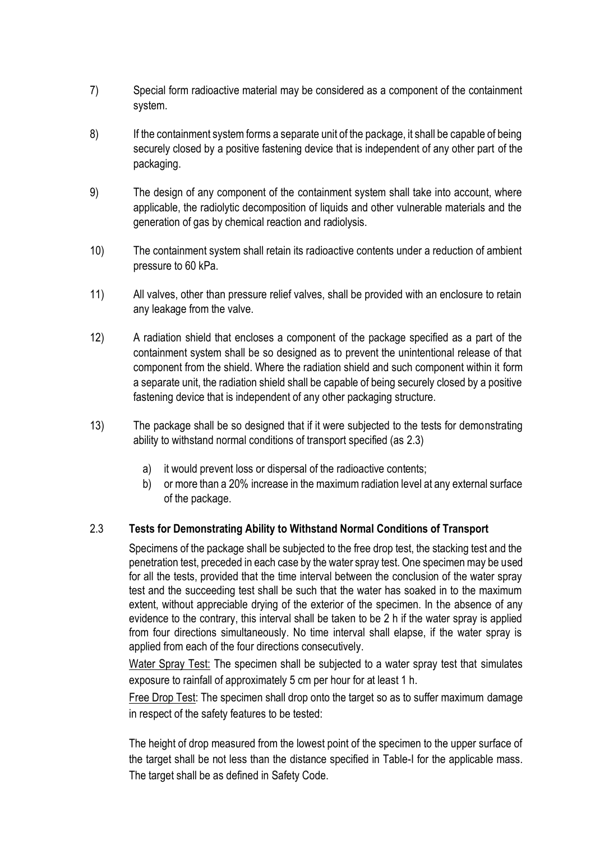- 7) Special form radioactive material may be considered as a component of the containment system.
- 8) If the containment system forms a separate unit of the package, it shall be capable of being securely closed by a positive fastening device that is independent of any other part of the packaging.
- 9) The design of any component of the containment system shall take into account, where applicable, the radiolytic decomposition of liquids and other vulnerable materials and the generation of gas by chemical reaction and radiolysis.
- 10) The containment system shall retain its radioactive contents under a reduction of ambient pressure to 60 kPa.
- 11) All valves, other than pressure relief valves, shall be provided with an enclosure to retain any leakage from the valve.
- 12) A radiation shield that encloses a component of the package specified as a part of the containment system shall be so designed as to prevent the unintentional release of that component from the shield. Where the radiation shield and such component within it form a separate unit, the radiation shield shall be capable of being securely closed by a positive fastening device that is independent of any other packaging structure.
- 13) The package shall be so designed that if it were subjected to the tests for demonstrating ability to withstand normal conditions of transport specified (as 2.3)
	- a) it would prevent loss or dispersal of the radioactive contents;
	- b) or more than a 20% increase in the maximum radiation level at any external surface of the package.

## 2.3 **Tests for Demonstrating Ability to Withstand Normal Conditions of Transport**

Specimens of the package shall be subjected to the free drop test, the stacking test and the penetration test, preceded in each case by the water spray test. One specimen may be used for all the tests, provided that the time interval between the conclusion of the water spray test and the succeeding test shall be such that the water has soaked in to the maximum extent, without appreciable drying of the exterior of the specimen. In the absence of any evidence to the contrary, this interval shall be taken to be 2 h if the water spray is applied from four directions simultaneously. No time interval shall elapse, if the water spray is applied from each of the four directions consecutively.

Water Spray Test: The specimen shall be subjected to a water spray test that simulates exposure to rainfall of approximately 5 cm per hour for at least 1 h.

Free Drop Test: The specimen shall drop onto the target so as to suffer maximum damage in respect of the safety features to be tested:

The height of drop measured from the lowest point of the specimen to the upper surface of the target shall be not less than the distance specified in Table-I for the applicable mass. The target shall be as defined in Safety Code.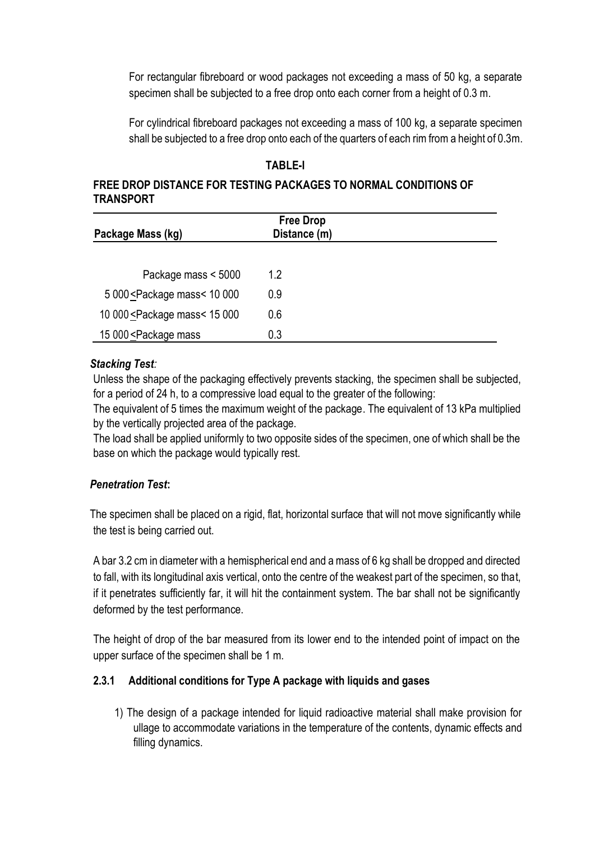For rectangular fibreboard or wood packages not exceeding a mass of 50 kg, a separate specimen shall be subjected to a free drop onto each corner from a height of 0.3 m.

For cylindrical fibreboard packages not exceeding a mass of 100 kg, a separate specimen shall be subjected to a free drop onto each of the quarters of each rim from a height of 0.3m.

## **TABLE-I**

#### **FREE DROP DISTANCE FOR TESTING PACKAGES TO NORMAL CONDITIONS OF TRANSPORT**

| Package Mass (kg)                                                            | <b>Free Drop</b><br>Distance (m) |  |
|------------------------------------------------------------------------------|----------------------------------|--|
|                                                                              |                                  |  |
| Package mass < 5000                                                          | 1.2                              |  |
| 5 000 <package 000<="" 10="" mass<="" td=""><td>0.9</td><td></td></package>  | 0.9                              |  |
| 10 000 <package 000<="" 15="" mass<="" td=""><td>0.6</td><td></td></package> | 0.6                              |  |
| 15 000 <package mass<="" td=""><td>0.3</td><td></td></package>               | 0.3                              |  |

#### *Stacking Test:*

Unless the shape of the packaging effectively prevents stacking, the specimen shall be subjected, for a period of 24 h, to a compressive load equal to the greater of the following:

The equivalent of 5 times the maximum weight of the package. The equivalent of 13 kPa multiplied by the vertically projected area of the package.

The load shall be applied uniformly to two opposite sides of the specimen, one of which shall be the base on which the package would typically rest.

## *Penetration Test***:**

The specimen shall be placed on a rigid, flat, horizontal surface that will not move significantly while the test is being carried out.

A bar 3.2 cm in diameter with a hemispherical end and a mass of 6 kg shall be dropped and directed to fall, with its longitudinal axis vertical, onto the centre of the weakest part of the specimen, so that, if it penetrates sufficiently far, it will hit the containment system. The bar shall not be significantly deformed by the test performance.

The height of drop of the bar measured from its lower end to the intended point of impact on the upper surface of the specimen shall be 1 m.

## **2.3.1 Additional conditions for Type A package with liquids and gases**

1) The design of a package intended for liquid radioactive material shall make provision for ullage to accommodate variations in the temperature of the contents, dynamic effects and filling dynamics.